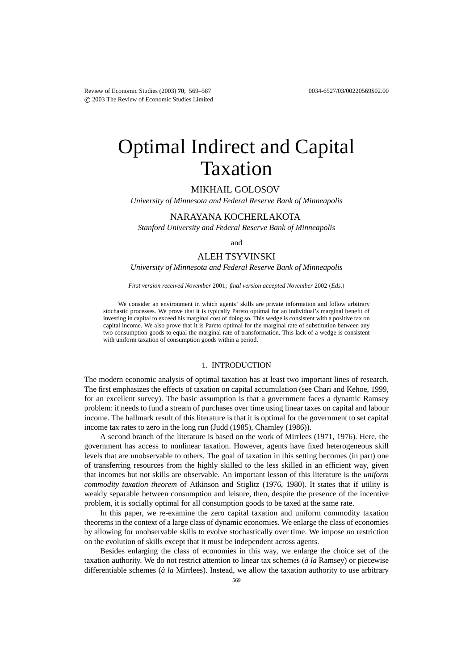Review of Economic Studies (2003) **70**, 569–587 0034-6527/03/00220569\$02.00 c 2003 The Review of Economic Studies Limited

# Optimal Indirect and Capital Taxation

# MIKHAIL GOLOSOV

*University of Minnesota and Federal Reserve Bank of Minneapolis*

# NARAYANA KOCHERLAKOTA

*Stanford University and Federal Reserve Bank of Minneapolis*

and

# ALEH TSYVINSKI

*University of Minnesota and Federal Reserve Bank of Minneapolis*

*First version received November* 2001; *final version accepted November* 2002 (*Eds.*)

We consider an environment in which agents' skills are private information and follow arbitrary stochastic processes. We prove that it is typically Pareto optimal for an individual's marginal benefit of investing in capital to exceed his marginal cost of doing so. This wedge is consistent with a positive tax on capital income. We also prove that it is Pareto optimal for the marginal rate of substitution between any two consumption goods to equal the marginal rate of transformation. This lack of a wedge is consistent with uniform taxation of consumption goods within a period.

# 1. INTRODUCTION

The modern economic analysis of optimal taxation has at least two important lines of research. The first emphasizes the effects of taxation on capital accumulation (see Chari and Kehoe, 1999, for an excellent survey). The basic assumption is that a government faces a dynamic Ramsey problem: it needs to fund a stream of purchases over time using linear taxes on capital and labour income. The hallmark result of this literature is that it is optimal for the government to set capital income tax rates to zero in the long run (Judd (1985), Chamley (1986)).

A second branch of the literature is based on the work of Mirrlees (1971, 1976). Here, the government has access to nonlinear taxation. However, agents have fixed heterogeneous skill levels that are unobservable to others. The goal of taxation in this setting becomes (in part) one of transferring resources from the highly skilled to the less skilled in an efficient way, given that incomes but not skills are observable. An important lesson of this literature is the *uniform commodity taxation theorem* of Atkinson and Stiglitz (1976, 1980). It states that if utility is weakly separable between consumption and leisure, then, despite the presence of the incentive problem, it is socially optimal for all consumption goods to be taxed at the same rate.

In this paper, we re-examine the zero capital taxation and uniform commodity taxation theorems in the context of a large class of dynamic economies. We enlarge the class of economies by allowing for unobservable skills to evolve stochastically over time. We impose *no* restriction on the evolution of skills except that it must be independent across agents.

Besides enlarging the class of economies in this way, we enlarge the choice set of the taxation authority. We do not restrict attention to linear tax schemes ( $\dot{a}$  *la* Ramsey) or piecewise differentiable schemes (*à la* Mirrlees). Instead, we allow the taxation authority to use arbitrary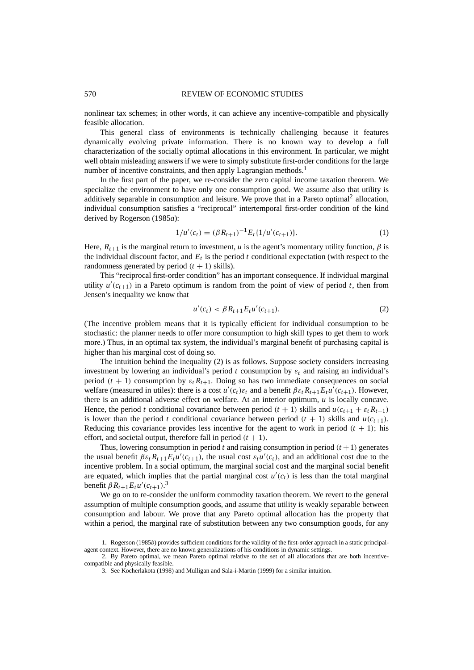nonlinear tax schemes; in other words, it can achieve any incentive-compatible and physically feasible allocation.

This general class of environments is technically challenging because it features dynamically evolving private information. There is no known way to develop a full characterization of the socially optimal allocations in this environment. In particular, we might well obtain misleading answers if we were to simply substitute first-order conditions for the large number of incentive constraints, and then apply Lagrangian methods.<sup>1</sup>

In the first part of the paper, we re-consider the zero capital income taxation theorem. We specialize the environment to have only one consumption good. We assume also that utility is additively separable in consumption and leisure. We prove that in a Pareto optimal<sup>2</sup> allocation, individual consumption satisfies a "reciprocal" intertemporal first-order condition of the kind derived by Rogerson (1985*a*):

$$
1/u'(c_t) = (\beta R_{t+1})^{-1} E_t \{1/u'(c_{t+1})\}.
$$
 (1)

Here,  $R_{t+1}$  is the marginal return to investment, *u* is the agent's momentary utility function,  $\beta$  is the individual discount factor, and  $E_t$  is the period  $t$  conditional expectation (with respect to the randomness generated by period  $(t + 1)$  skills).

This "reciprocal first-order condition" has an important consequence. If individual marginal utility  $u'(c_{t+1})$  in a Pareto optimum is random from the point of view of period *t*, then from Jensen's inequality we know that

$$
u'(c_t) < \beta R_{t+1} E_t u'(c_{t+1}).\tag{2}
$$

(The incentive problem means that it is typically efficient for individual consumption to be stochastic: the planner needs to offer more consumption to high skill types to get them to work more.) Thus, in an optimal tax system, the individual's marginal benefit of purchasing capital is higher than his marginal cost of doing so.

The intuition behind the inequality (2) is as follows. Suppose society considers increasing investment by lowering an individual's period *t* consumption by ε*<sup>t</sup>* and raising an individual's period  $(t + 1)$  consumption by  $\varepsilon_t R_{t+1}$ . Doing so has two immediate consequences on social welfare (measured in utiles): there is a cost  $u'(c_t) \varepsilon_t$  and a benefit  $\beta \varepsilon_t R_{t+1} E_t u'(c_{t+1})$ . However, there is an additional adverse effect on welfare. At an interior optimum, *u* is locally concave. Hence, the period *t* conditional covariance between period  $(t + 1)$  skills and  $u(c_{t+1} + \varepsilon_t R_{t+1})$ is lower than the period *t* conditional covariance between period  $(t + 1)$  skills and  $u(c_{t+1})$ . Reducing this covariance provides less incentive for the agent to work in period  $(t + 1)$ ; his effort, and societal output, therefore fall in period  $(t + 1)$ .

Thus, lowering consumption in period  $t$  and raising consumption in period  $(t + 1)$  generates the usual benefit  $\beta \epsilon_t R_{t+1} E_t u'(c_{t+1})$ , the usual cost  $\epsilon_t u'(c_t)$ , and an additional cost due to the incentive problem. In a social optimum, the marginal social cost and the marginal social benefit are equated, which implies that the partial marginal cost  $u'(c_t)$  is less than the total marginal benefit  $\beta R_{t+1} E_t u'(c_{t+1})$ .<sup>3</sup>

We go on to re-consider the uniform commodity taxation theorem. We revert to the general assumption of multiple consumption goods, and assume that utility is weakly separable between consumption and labour. We prove that any Pareto optimal allocation has the property that within a period, the marginal rate of substitution between any two consumption goods, for any

<sup>1.</sup> Rogerson (1985*b*) provides sufficient conditions for the validity of the first-order approach in a static principalagent context. However, there are no known generalizations of his conditions in dynamic settings.

<sup>2.</sup> By Pareto optimal, we mean Pareto optimal relative to the set of all allocations that are both incentivecompatible and physically feasible.

<sup>3.</sup> See Kocherlakota (1998) and Mulligan and Sala-i-Martin (1999) for a similar intuition.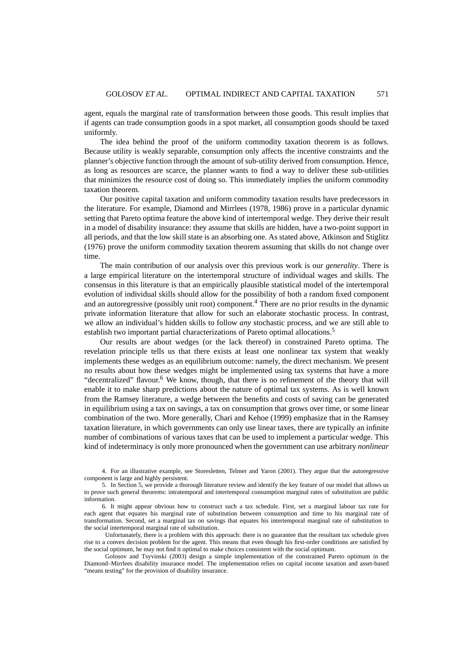agent, equals the marginal rate of transformation between those goods. This result implies that if agents can trade consumption goods in a spot market, all consumption goods should be taxed uniformly.

The idea behind the proof of the uniform commodity taxation theorem is as follows. Because utility is weakly separable, consumption only affects the incentive constraints and the planner's objective function through the amount of sub-utility derived from consumption. Hence, as long as resources are scarce, the planner wants to find a way to deliver these sub-utilities that minimizes the resource cost of doing so. This immediately implies the uniform commodity taxation theorem.

Our positive capital taxation and uniform commodity taxation results have predecessors in the literature. For example, Diamond and Mirrlees (1978, 1986) prove in a particular dynamic setting that Pareto optima feature the above kind of intertemporal wedge. They derive their result in a model of disability insurance: they assume that skills are hidden, have a two-point support in all periods, and that the low skill state is an absorbing one. As stated above, Atkinson and Stiglitz (1976) prove the uniform commodity taxation theorem assuming that skills do not change over time.

The main contribution of our analysis over this previous work is our *generality*. There is a large empirical literature on the intertemporal structure of individual wages and skills. The consensus in this literature is that an empirically plausible statistical model of the intertemporal evolution of individual skills should allow for the possibility of both a random fixed component and an autoregressive (possibly unit root) component.<sup>4</sup> There are *no* prior results in the dynamic private information literature that allow for such an elaborate stochastic process. In contrast, we allow an individual's hidden skills to follow *any* stochastic process, and we are still able to establish two important partial characterizations of Pareto optimal allocations.<sup>5</sup>

Our results are about wedges (or the lack thereof) in constrained Pareto optima. The revelation principle tells us that there exists at least one nonlinear tax system that weakly implements these wedges as an equilibrium outcome: namely, the direct mechanism. We present no results about how these wedges might be implemented using tax systems that have a more "decentralized" flavour.<sup>6</sup> We know, though, that there is no refinement of the theory that will enable it to make sharp predictions about the nature of optimal tax systems. As is well known from the Ramsey literature, a wedge between the benefits and costs of saving can be generated in equilibrium using a tax on savings, a tax on consumption that grows over time, or some linear combination of the two. More generally, Chari and Kehoe (1999) emphasize that in the Ramsey taxation literature, in which governments can only use linear taxes, there are typically an infinite number of combinations of various taxes that can be used to implement a particular wedge. This kind of indeterminacy is only more pronounced when the government can use arbitrary *nonlinear*

<sup>4.</sup> For an illustrative example, see Storesletten, Telmer and Yaron (2001). They argue that the autoregressive component is large and highly persistent.

<sup>5.</sup> In Section 5, we provide a thorough literature review and identify the key feature of our model that allows us to prove such general theorems: intratemporal and intertemporal consumption marginal rates of substitution are public information.

<sup>6.</sup> It might appear obvious how to construct such a tax schedule. First, set a marginal labour tax rate for each agent that equates his marginal rate of substitution between consumption and time to his marginal rate of transformation. Second, set a marginal tax on savings that equates his intertemporal marginal rate of substitution to the social intertemporal marginal rate of substitution.

Unfortunately, there is a problem with this approach: there is no guarantee that the resultant tax schedule gives rise to a convex decision problem for the agent. This means that even though his first-order conditions are satisfied by the social optimum, he may not find it optimal to make choices consistent with the social optimum.

Golosov and Tsyvinski (2003) design a simple implementation of the constrained Pareto optimum in the Diamond–Mirrlees disability insurance model. The implementation relies on capital income taxation and asset-based "means testing" for the provision of disability insurance.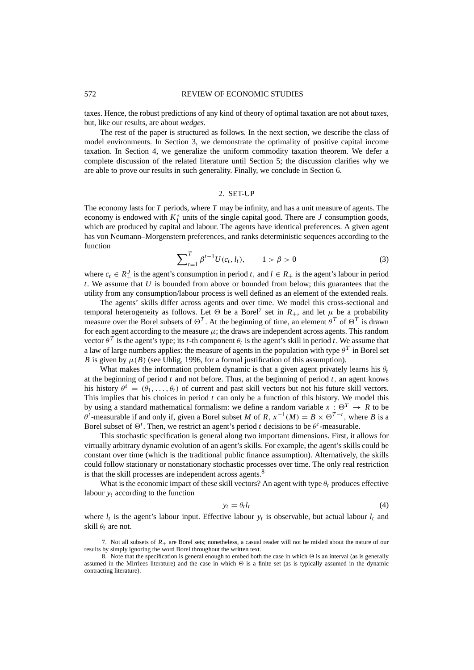taxes. Hence, the robust predictions of any kind of theory of optimal taxation are not about *taxes*, but, like our results, are about *wedges.*

The rest of the paper is structured as follows. In the next section, we describe the class of model environments. In Section 3, we demonstrate the optimality of positive capital income taxation. In Section 4, we generalize the uniform commodity taxation theorem. We defer a complete discussion of the related literature until Section 5; the discussion clarifies why we are able to prove our results in such generality. Finally, we conclude in Section 6.

#### 2. SET-UP

The economy lasts for *T* periods, where *T* may be infinity, and has a unit measure of agents. The economy is endowed with  $K_1^*$  units of the single capital good. There are *J* consumption goods, which are produced by capital and labour. The agents have identical preferences. A given agent has von Neumann–Morgenstern preferences, and ranks deterministic sequences according to the function

$$
\sum_{t=1}^{T} \beta^{t-1} U(c_t, l_t), \qquad 1 > \beta > 0 \tag{3}
$$

where  $c_t \in R_+^J$  is the agent's consumption in period *t*, and  $l \in R_+$  is the agent's labour in period *t*. We assume that *U* is bounded from above or bounded from below; this guarantees that the utility from any consumption/labour process is well defined as an element of the extended reals.

The agents' skills differ across agents and over time. We model this cross-sectional and temporal heterogeneity as follows. Let  $\Theta$  be a Borel<sup>7</sup> set in  $R_+$ , and let  $\mu$  be a probability measure over the Borel subsets of  $\Theta^T$ . At the beginning of time, an element  $\theta^T$  of  $\Theta^T$  is drawn for each agent according to the measure  $\mu$ ; the draws are independent across agents. This random vector  $\theta^T$  is the agent's type; its *t*-th component  $\theta_t$  is the agent's skill in period *t*. We assume that a law of large numbers applies: the measure of agents in the population with type  $\theta^T$  in Borel set *B* is given by  $\mu(B)$  (see Uhlig, 1996, for a formal justification of this assumption).

What makes the information problem dynamic is that a given agent privately learns his  $\theta_t$ at the beginning of period *t* and not before. Thus, at the beginning of period *t*, an agent knows his history  $\theta^t = (\theta_1, \dots, \theta_t)$  of current and past skill vectors but not his future skill vectors. This implies that his choices in period  $t$  can only be a function of this history. We model this by using a standard mathematical formalism: we define a random variable  $x : \Theta^T \to R$  to be  $\theta^t$ -measurable if and only if, given a Borel subset *M* of *R*,  $x^{-1}(M) = B \times \Theta^{T-t}$ , where *B* is a Borel subset of  $\Theta^t$ . Then, we restrict an agent's period *t* decisions to be  $\theta^t$ -measurable.

This stochastic specification is general along two important dimensions. First, it allows for virtually arbitrary dynamic evolution of an agent's skills. For example, the agent's skills could be constant over time (which is the traditional public finance assumption). Alternatively, the skills could follow stationary or nonstationary stochastic processes over time. The only real restriction is that the skill processes are independent across agents.<sup>8</sup>

What is the economic impact of these skill vectors? An agent with type  $\theta_t$  produces effective labour *y<sup>t</sup>* according to the function

$$
y_t = \theta_t l_t \tag{4}
$$

where  $l_t$  is the agent's labour input. Effective labour  $y_t$  is observable, but actual labour  $l_t$  and skill  $\theta_t$  are not.

<sup>7.</sup> Not all subsets of  $R_+$  are Borel sets; nonetheless, a casual reader will not be misled about the nature of our results by simply ignoring the word Borel throughout the written text.

<sup>8.</sup> Note that the specification is general enough to embed both the case in which  $\Theta$  is an interval (as is generally assumed in the Mirrlees literature) and the case in which  $\Theta$  is a finite set (as is typically assumed in the dynamic contracting literature).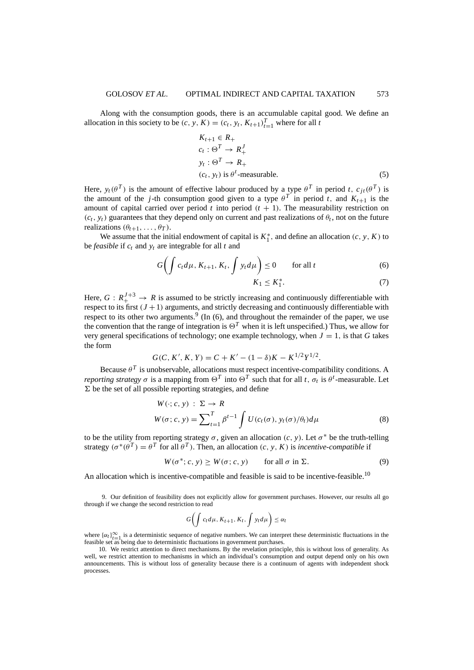Along with the consumption goods, there is an accumulable capital good. We define an allocation in this society to be  $(c, y, K) = (c_t, y_t, K_{t+1})_{t=1}^T$  where for all *t* 

$$
K_{t+1} \in R_{+}
$$
  
\n
$$
c_{t} : \Theta^{T} \to R_{+}^{J}
$$
  
\n
$$
y_{t} : \Theta^{T} \to R_{+}
$$
  
\n
$$
(c_{t}, y_{t}) \text{ is } \theta^{t}
$$
-measurable. (5)

Here,  $y_t(\theta^T)$  is the amount of effective labour produced by a type  $\theta^T$  in period *t*,  $c_{jt}(\theta^T)$  is the amount of the *j*-th consumption good given to a type  $\theta^T$  in period *t*, and  $K_{t+1}$  is the amount of capital carried over period  $t$  into period  $(t + 1)$ . The measurability restriction on  $(c_t, y_t)$  guarantees that they depend only on current and past realizations of  $\theta_t$ , not on the future realizations  $(\theta_{t+1}, \ldots, \theta_T)$ .

We assume that the initial endowment of capital is  $K_1^*$ , and define an allocation  $(c, y, K)$  to be *feasible* if *c<sup>t</sup>* and *y<sup>t</sup>* are integrable for all *t* and

$$
G\bigg(\int c_t d\mu, K_{t+1}, K_t, \int y_t d\mu\bigg) \le 0 \qquad \text{for all } t \tag{6}
$$

$$
K_1 \le K_1^*.\tag{7}
$$

Here,  $G: R^{J+3}_+ \to R$  is assumed to be strictly increasing and continuously differentiable with respect to its first  $(J + 1)$  arguments, and strictly decreasing and continuously differentiable with respect to its other two arguments.<sup>9</sup> (In  $(6)$ , and throughout the remainder of the paper, we use the convention that the range of integration is  $\Theta^T$  when it is left unspecified.) Thus, we allow for very general specifications of technology; one example technology, when  $J = 1$ , is that G takes the form

$$
G(C, K', K, Y) = C + K' - (1 - \delta)K - K^{1/2}Y^{1/2}.
$$

Because  $\theta^T$  is unobservable, allocations must respect incentive-compatibility conditions. A *reporting strategy*  $\sigma$  is a mapping from  $\Theta^T$  into  $\Theta^T$  such that for all *t*,  $\sigma_t$  is  $\theta^t$ -measurable. Let  $\Sigma$  be the set of all possible reporting strategies, and define

$$
W(\cdot; c, y) : \Sigma \to R
$$
  
 
$$
W(\sigma; c, y) = \sum_{t=1}^{T} \beta^{t-1} \int U(c_t(\sigma), y_t(\sigma)/\theta_t) d\mu
$$
 (8)

to be the utility from reporting strategy  $\sigma$ , given an allocation  $(c, y)$ . Let  $\sigma^*$  be the truth-telling strategy  $(\sigma^*(\theta^T) = \theta^T$  for all  $\theta^T)$ . Then, an allocation  $(c, y, K)$  is *incentive-compatible* if

$$
W(\sigma^*; c, y) \ge W(\sigma; c, y) \quad \text{for all } \sigma \text{ in } \Sigma. \tag{9}
$$

An allocation which is incentive-compatible and feasible is said to be incentive-feasible.<sup>10</sup>

9. Our definition of feasibility does not explicitly allow for government purchases. However, our results all go through if we change the second restriction to read

$$
G\biggl(\int c_t d\mu, K_{t+1}, K_t, \int y_t d\mu\biggr) \leq \alpha_t
$$

where  $\{\alpha_t\}_{t=1}^{\infty}$  is a deterministic sequence of negative numbers. We can interpret these deterministic fluctuations in the feasible set as being due to deterministic fluctuations in government purchases.

10. We restrict attention to direct mechanisms. By the revelation principle, this is without loss of generality. As well, we restrict attention to mechanisms in which an individual's consumption and output depend only on his own announcements. This is without loss of generality because there is a continuum of agents with independent shock processes.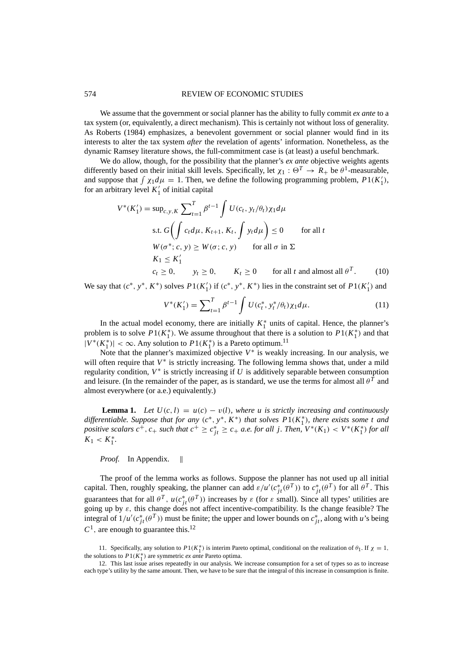We assume that the government or social planner has the ability to fully commit *ex ante* to a tax system (or, equivalently, a direct mechanism). This is certainly not without loss of generality. As Roberts (1984) emphasizes, a benevolent government or social planner would find in its interests to alter the tax system *after* the revelation of agents' information. Nonetheless, as the dynamic Ramsey literature shows, the full-commitment case is (at least) a useful benchmark.

We do allow, though, for the possibility that the planner's *ex ante* objective weights agents differently based on their initial skill levels. Specifically, let  $\chi_1$  :  $\Theta^T \to R_+$  be  $\theta^1$ -measurable, and suppose that  $\int \chi_1 d\mu = 1$ . Then, we define the following programming problem,  $P1(K'_1)$ , for an arbitrary level  $K'_1$  of initial capital

$$
V^*(K'_1) = \sup_{c,y,K} \sum_{t=1}^T \beta^{t-1} \int U(c_t, y_t/\theta_t) \chi_1 d\mu
$$
  
s.t.  $G \left( \int c_t d\mu, K_{t+1}, K_t, \int y_t d\mu \right) \le 0$  for all  $t$   
 $W(\sigma^*; c, y) \ge W(\sigma; c, y)$  for all  $\sigma$  in  $\Sigma$   
 $K_1 \le K'_1$   
 $c_t \ge 0$ ,  $y_t \ge 0$ ,  $K_t \ge 0$  for all  $t$  and almost all  $\theta^T$ . (10)

We say that  $(c^*, y^*, K^*)$  solves  $P1(K_1')$  if  $(c^*, y^*, K^*)$  lies in the constraint set of  $P1(K_1')$  and

$$
V^*(K_1') = \sum_{t=1}^T \beta^{t-1} \int U(c_t^*, y_t^* / \theta_t) \chi_1 d\mu.
$$
 (11)

In the actual model economy, there are initially  $K_1^*$  units of capital. Hence, the planner's problem is to solve  $P1(K_1^*)$ . We assume throughout that there is a solution to  $P1(K_1^*)$  and that  $|V^*(K_1^*)| < \infty$ . Any solution to  $P1(K_1^*)$  is a Pareto optimum.<sup>11</sup>

Note that the planner's maximized objective  $V^*$  is weakly increasing. In our analysis, we will often require that  $V^*$  is strictly increasing. The following lemma shows that, under a mild regularity condition,  $V^*$  is strictly increasing if  $U$  is additively separable between consumption and leisure. (In the remainder of the paper, as is standard, we use the terms for almost all  $\theta^T$  and almost everywhere (or a.e.) equivalently.)

**Lemma 1.** Let  $U(c, l) = u(c) - v(l)$ , where u is strictly increasing and continuously *differentiable. Suppose that for any*  $(c^*, y^*, K^*)$  *that solves*  $P1(K_1^*)$ *, there exists some t and positive scalars*  $c^+$ ,  $c_+$  *such that*  $c^+ \ge c^*_{jt} \ge c_+$  *a.e. for all j. Then,*  $V^*(K_1) < V^*(K_1^*)$  *for all*  $K_1 < K_1^*$ .

*Proof.* In Appendix.  $\parallel$ 

The proof of the lemma works as follows. Suppose the planner has not used up all initial capital. Then, roughly speaking, the planner can add  $\varepsilon/u'(c_{j}^{*}(\theta^{T}))$  to  $c_{j}^{*}(\theta^{T})$  for all  $\theta^{T}$ . This guarantees that for all  $\theta^T$ ,  $u(c^*_{jt}(\theta^T))$  increases by  $\varepsilon$  (for  $\varepsilon$  small). Since all types' utilities are going up by  $\varepsilon$ , this change does not affect incentive-compatibility. Is the change feasible? The integral of  $1/u'(c_{jt}^*(\theta^T))$  must be finite; the upper and lower bounds on  $c_{jt}^*$ , along with *u*'s being  $C<sup>1</sup>$ , are enough to guarantee this.<sup>12</sup>

11. Specifically, any solution to  $P1(K_1^*)$  is interim Pareto optimal, conditional on the realization of  $\theta_1$ . If  $\chi = 1$ , the solutions to  $P1(K_1^*)$  are symmetric *ex ante* Pareto optima.

12. This last issue arises repeatedly in our analysis. We increase consumption for a set of types so as to increase each type's utility by the same amount. Then, we have to be sure that the integral of this increase in consumption is finite.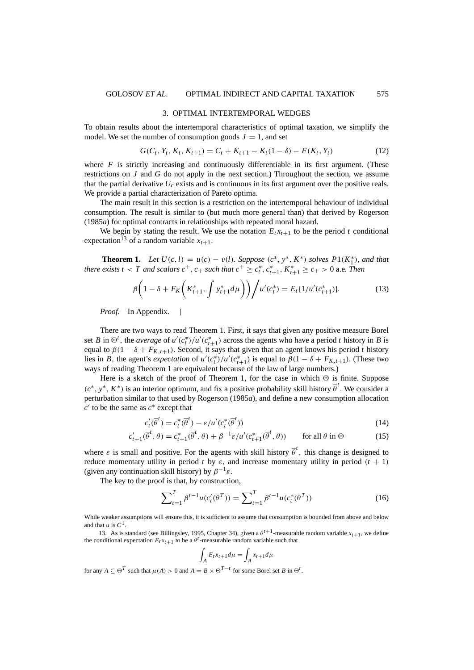#### 3. OPTIMAL INTERTEMPORAL WEDGES

To obtain results about the intertemporal characteristics of optimal taxation, we simplify the model. We set the number of consumption goods  $J = 1$ , and set

$$
G(C_t, Y_t, K_t, K_{t+1}) = C_t + K_{t+1} - K_t(1 - \delta) - F(K_t, Y_t)
$$
\n(12)

where  $F$  is strictly increasing and continuously differentiable in its first argument. (These restrictions on *J* and *G* do not apply in the next section.) Throughout the section, we assume that the partial derivative  $U_c$  exists and is continuous in its first argument over the positive reals. We provide a partial characterization of Pareto optima.

The main result in this section is a restriction on the intertemporal behaviour of individual consumption. The result is similar to (but much more general than) that derived by Rogerson (1985*a*) for optimal contracts in relationships with repeated moral hazard.

We begin by stating the result. We use the notation  $E_t x_{t+1}$  to be the period *t* conditional expectation<sup>13</sup> of a random variable  $x_{t+1}$ .

**Theorem 1.** *Let*  $U(c, l) = u(c) - v(l)$ *. Suppose*  $(c^*, y^*, K^*)$  *solves*  $P1(K_1^*)$ *, and that there exists t* < *T* and scalars  $c^+$ ,  $c_+$  such that  $c^+ \ge c_t^*$ ,  $c_{t+1}^*$ ,  $K_{t+1}^* \ge c_+ > 0$  a.e. Then

$$
\beta\bigg(1-\delta + F_K\bigg(K_{t+1}^*, \int y_{t+1}^* d\mu\bigg)\bigg)\bigg/u'(c_t^*) = E_t\{1/u'(c_{t+1}^*)\}.
$$
\n(13)

*Proof.* In Appendix.  $\parallel$ 

There are two ways to read Theorem 1. First, it says that given any positive measure Borel set *B* in  $\Theta^t$ , the *average* of  $u'(c_t^*)/u'(c_{t+1}^*)$  across the agents who have a period *t* history in *B* is equal to  $\beta(1 - \delta + F_{K,t+1})$ . Second, it says that given that an agent knows his period *t* history lies in *B*, the agent's *expectation* of  $u'(c_t^*)/u'(c_{t+1}^*)$  is equal to  $\beta(1 - \delta + F_{K,t+1})$ . (These two ways of reading Theorem 1 are equivalent because of the law of large numbers.)

Here is a sketch of the proof of Theorem 1, for the case in which  $\Theta$  is finite. Suppose  $(c^*, y^*, K^*)$  is an interior optimum, and fix a positive probability skill history  $\overline{\theta}^t$ . We consider a perturbation similar to that used by Rogerson (1985*a*), and define a new consumption allocation  $\vec{c}$  to be the same as  $c^*$  except that

$$
c'_{t}(\overline{\theta}^{t}) = c_{t}^{*}(\overline{\theta}^{t}) - \varepsilon/u'(c_{t}^{*}(\overline{\theta}^{t}))
$$
\n(14)

$$
c'_{t+1}(\overline{\theta}^t, \theta) = c^*_{t+1}(\overline{\theta}^t, \theta) + \beta^{-1} \varepsilon / u'(c^*_{t+1}(\overline{\theta}^t, \theta)) \qquad \text{for all } \theta \text{ in } \Theta
$$
 (15)

where  $\varepsilon$  is small and positive. For the agents with skill history  $\overline{\theta}^t$ , this change is designed to reduce momentary utility in period *t* by  $\varepsilon$ , and increase momentary utility in period  $(t + 1)$ (given any continuation skill history) by  $\beta^{-1}\varepsilon$ .

The key to the proof is that, by construction,

$$
\sum_{t=1}^{T} \beta^{t-1} u(c_t'(\theta^T)) = \sum_{t=1}^{T} \beta^{t-1} u(c_t^*(\theta^T))
$$
\n(16)

While weaker assumptions will ensure this, it is sufficient to assume that consumption is bounded from above and below and that *u* is  $C^1$ .

13. As is standard (see Billingsley, 1995, Chapter 34), given a  $\theta^{t+1}$ -measurable random variable  $x_{t+1}$ , we define the conditional expectation  $E_t x_{t+1}$  to be a  $\theta^t$ -measurable random variable such that

$$
\int_A E_t x_{t+1} d\mu = \int_A x_{t+1} d\mu
$$

for any  $A \subseteq \Theta^T$  such that  $\mu(A) > 0$  and  $A = B \times \Theta^{T-t}$  for some Borel set *B* in  $\Theta^t$ .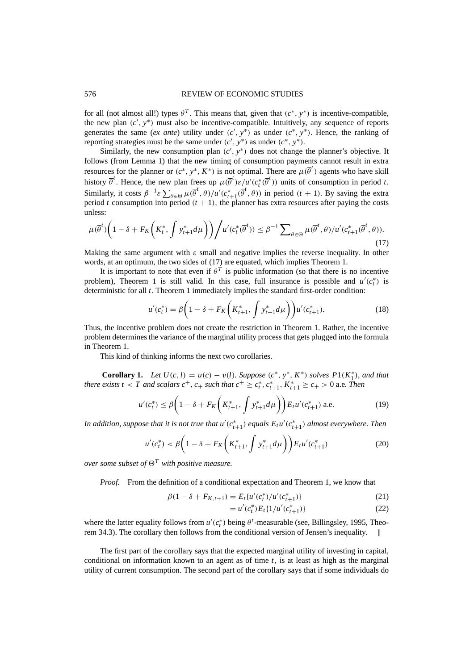for all (not almost all!) types  $\theta^T$ . This means that, given that  $(c^*, y^*)$  is incentive-compatible, the new plan  $(c', y^*)$  must also be incentive-compatible. Intuitively, any sequence of reports generates the same (*ex ante*) utility under  $(c', y^*)$  as under  $(c^*, y^*)$ . Hence, the ranking of reporting strategies must be the same under  $(c', y^*)$  as under  $(c^*, y^*)$ .

Similarly, the new consumption plan  $(c', y^*)$  does not change the planner's objective. It follows (from Lemma 1) that the new timing of consumption payments cannot result in extra resources for the planner or  $(c^*, y^*, K^*)$  is not optimal. There are  $\mu(\overline{\theta}^t)$  agents who have skill history  $\overline{\theta}^t$ . Hence, the new plan frees up  $\mu(\overline{\theta}^t)\varepsilon/u'(c_t^*(\overline{\theta}^t))$  units of consumption in period *t*. Similarly, it costs  $\beta^{-1}\varepsilon \sum_{\theta \in \Theta} \mu(\overline{\theta}^t, \theta)/\mu'(c_{t+1}^*(\overline{\theta}^t, \theta))$  in period  $(t + 1)$ . By saving the extra period  $t$  consumption into period  $(t + 1)$ , the planner has extra resources after paying the costs unless:

$$
\mu(\overline{\theta}^t) \left(1 - \delta + F_K\left(K_t^*, \int y_{t+1}^* d\mu\right)\right) / u'(c_t^*(\overline{\theta}^t)) \le \beta^{-1} \sum_{\theta \in \Theta} \mu(\overline{\theta}^t, \theta) / u'(c_{t+1}^*(\overline{\theta}^t, \theta)).
$$
\n(17)

Making the same argument with  $\varepsilon$  small and negative implies the reverse inequality. In other words, at an optimum, the two sides of (17) are equated, which implies Theorem 1.

It is important to note that even if  $\theta^T$  is public information (so that there is no incentive problem), Theorem 1 is still valid. In this case, full insurance is possible and  $u'(c_t^*)$  is deterministic for all *t*. Theorem 1 immediately implies the standard first-order condition:

$$
u'(c_t^*) = \beta \bigg( 1 - \delta + F_K \bigg( K_{t+1}^*, \int y_{t+1}^* d\mu \bigg) \bigg) u'(c_{t+1}^*).
$$
 (18)

Thus, the incentive problem does not create the restriction in Theorem 1. Rather, the incentive problem determines the variance of the marginal utility process that gets plugged into the formula in Theorem 1.

This kind of thinking informs the next two corollaries.

**Corollary 1.** *Let*  $U(c, l) = u(c) - v(l)$ *. Suppose*  $(c^*, y^*, K^*)$  *solves*  $P1(K_1^*)$ *, and that there exists t* < *T* and scalars  $c^+$ ,  $c_+$  such that  $c^+ \ge c_t^*$ ,  $c_{t+1}^*$ ,  $K_{t+1}^* \ge c_+ > 0$  a.e. Then

$$
u'(c_t^*) \le \beta \bigg( 1 - \delta + F_K \bigg( K_{t+1}^*, \int y_{t+1}^* d\mu \bigg) \bigg) E_t u'(c_{t+1}^*) \text{ a.e.}
$$
 (19)

In addition, suppose that it is not true that  $u'(c_{t+1}^*)$  equals  $E_t u'(c_{t+1}^*)$  almost everywhere. Then

$$
u'(c_t^*) < \beta \bigg( 1 - \delta + F_K \bigg( K_{t+1}^*, \int y_{t+1}^* d\mu \bigg) \bigg) E_t u'(c_{t+1}^*) \tag{20}
$$

*over some subset of*  $\Theta^T$  *with positive measure.* 

*Proof.* From the definition of a conditional expectation and Theorem 1, we know that

$$
\beta(1 - \delta + F_{K,t+1}) = E_t \{ u'(c_t^*) / u'(c_{t+1}^*) \}
$$
\n(21)

$$
= u'(c_t^*) E_t \{ 1/u'(c_{t+1}^*) \}
$$
\n(22)

where the latter equality follows from  $u'(c_t^*)$  being  $\theta^t$ -measurable (see, Billingsley, 1995, Theorem 34.3). The corollary then follows from the conditional version of Jensen's inequality.

The first part of the corollary says that the expected marginal utility of investing in capital, conditional on information known to an agent as of time  $t$ , is at least as high as the marginal utility of current consumption. The second part of the corollary says that if some individuals do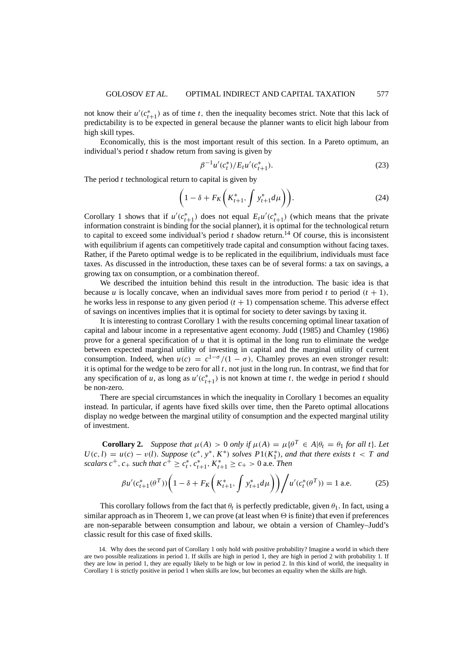not know their  $u'(c_{t+1}^*)$  as of time *t*, then the inequality becomes strict. Note that this lack of predictability is to be expected in general because the planner wants to elicit high labour from high skill types.

Economically, this is the most important result of this section. In a Pareto optimum, an individual's period *t* shadow return from saving is given by

$$
\beta^{-1}u'(c_t^*)/E_t u'(c_{t+1}^*).
$$
\n(23)

The period *t* technological return to capital is given by

$$
\left(1 - \delta + F_K\left(K_{t+1}^*, \int y_{t+1}^* d\mu\right)\right). \tag{24}
$$

Corollary 1 shows that if  $u'(c_{t+1}^*)$  does not equal  $E_t u'(c_{t+1}^*)$  (which means that the private information constraint is binding for the social planner), it is optimal for the technological return to capital to exceed some individual's period  $t$  shadow return.<sup>14</sup> Of course, this is inconsistent with equilibrium if agents can competitively trade capital and consumption without facing taxes. Rather, if the Pareto optimal wedge is to be replicated in the equilibrium, individuals must face taxes. As discussed in the introduction, these taxes can be of several forms: a tax on savings, a growing tax on consumption, or a combination thereof.

We described the intuition behind this result in the introduction. The basic idea is that because *u* is locally concave, when an individual saves more from period *t* to period  $(t + 1)$ , he works less in response to any given period  $(t + 1)$  compensation scheme. This adverse effect of savings on incentives implies that it is optimal for society to deter savings by taxing it.

It is interesting to contrast Corollary 1 with the results concerning optimal linear taxation of capital and labour income in a representative agent economy. Judd (1985) and Chamley (1986) prove for a general specification of *u* that it is optimal in the long run to eliminate the wedge between expected marginal utility of investing in capital and the marginal utility of current consumption. Indeed, when  $u(c) = c^{1-\sigma}/(1-\sigma)$ , Chamley proves an even stronger result: it is optimal for the wedge to be zero for all *t*, not just in the long run. In contrast, we find that for any specification of *u*, as long as  $u'(c_{t+1}^*)$  is not known at time *t*, the wedge in period *t* should be non-zero.

There are special circumstances in which the inequality in Corollary 1 becomes an equality instead. In particular, if agents have fixed skills over time, then the Pareto optimal allocations display no wedge between the marginal utility of consumption and the expected marginal utility of investment.

**Corollary 2.** Suppose that  $\mu(A) > 0$  only if  $\mu(A) = \mu\{\theta^T \in A | \theta_t = \theta_1 \text{ for all } t\}$ . Let  $U(c, l) = u(c) - v(l)$ . Suppose  $(c^*, y^*, K^*)$  solves  $P1(K_1^*)$ , and that there exists  $t < T$  and *scalars*  $c^+$ ,  $c_+$  *such that*  $c^+ \ge c_t^*$ ,  $c_{t+1}^*$ ,  $K_{t+1}^* \ge c_+ > 0$  a.e. *Then* 

$$
\beta u'(c_{t+1}^*(\theta^T)) \bigg(1 - \delta + F_K\bigg(K_{t+1}^*, \int y_{t+1}^* d\mu\bigg)\bigg) \bigg/ u'(c_t^*(\theta^T)) = 1 \text{ a.e. } (25)
$$

This corollary follows from the fact that  $\theta_t$  is perfectly predictable, given  $\theta_1$ . In fact, using a similar approach as in Theorem 1, we can prove (at least when  $\Theta$  is finite) that even if preferences are non-separable between consumption and labour, we obtain a version of Chamley–Judd's classic result for this case of fixed skills.

<sup>14.</sup> Why does the second part of Corollary 1 only hold with positive probability? Imagine a world in which there are two possible realizations in period 1. If skills are high in period 1, they are high in period 2 with probability 1. If they are low in period 1, they are equally likely to be high or low in period 2. In this kind of world, the inequality in Corollary 1 is strictly positive in period 1 when skills are low, but becomes an equality when the skills are high.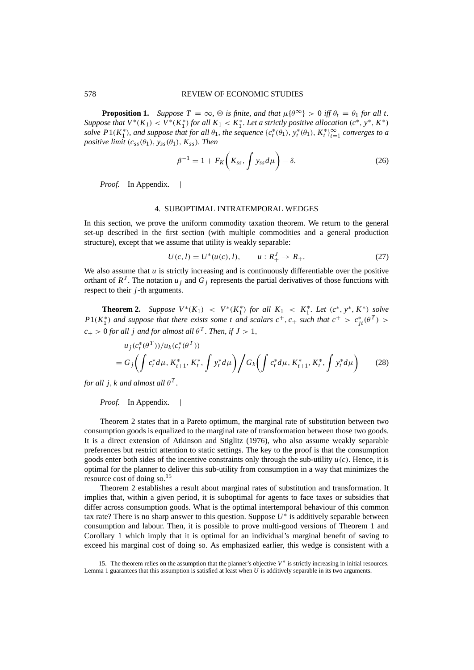**Proposition 1.** *Suppose*  $T = \infty$ ,  $\Theta$  *is finite, and that*  $\mu\{\theta^{\infty}\} > 0$  *iff*  $\theta_t = \theta_1$  *for all t. Suppose that*  $V^*(K_1) < V^*(K_1^*)$  *for all*  $K_1 < K_1^*$ *. Let a strictly positive allocation*  $(c^*, y^*, K^*)$ *solve*  $P1(K_1^*)$ *, and suppose that for all*  $\theta_1$ *, the sequence*  $\{c_t^*(\theta_1), y_t^*(\theta_1), K_t^*\}_{t=1}^\infty$  *converges to a positive limit*  $(c_{ss}(\theta_1), y_{ss}(\theta_1), K_{ss})$ *. Then* 

$$
\beta^{-1} = 1 + F_K\left(K_{ss}, \int y_{ss} d\mu\right) - \delta. \tag{26}
$$

*Proof.* In Appendix.  $\parallel$ 

#### 4. SUBOPTIMAL INTRATEMPORAL WEDGES

In this section, we prove the uniform commodity taxation theorem. We return to the general set-up described in the first section (with multiple commodities and a general production structure), except that we assume that utility is weakly separable:

$$
U(c, l) = U^*(u(c), l), \qquad u: R_+^J \to R_+.
$$
 (27)

We also assume that *u* is strictly increasing and is continuously differentiable over the positive orthant of  $R^J$ . The notation  $u_j$  and  $G_j$  represents the partial derivatives of those functions with respect to their *j*-th arguments.

**Theorem 2.** Suppose  $V^*(K_1) < V^*(K_1^*)$  for all  $K_1 < K_1^*$ . Let  $(c^*, y^*, K^*)$  solve  $P1(K_1^*)$  and suppose that there exists some t and scalars  $c^+$ ,  $c_+$  such that  $c^+ > c^*_{jt}(\theta^T) >$  $c_+ > 0$  for all j and for almost all  $\theta^T$ . Then, if  $J > 1$ ,

$$
u_j(c_t^*(\theta^T))/u_k(c_t^*(\theta^T))
$$
  
=  $G_j \left( \int c_t^* d\mu, K_{t+1}^*, K_t^*, \int y_t^* d\mu \right) / G_k \left( \int c_t^* d\mu, K_{t+1}^*, K_t^*, \int y_t^* d\mu \right)$  (28)

*for all*  $j$ *,*  $k$  *and almost all*  $\theta^T$ .

```
Proof. In Appendix. \parallel
```
Theorem 2 states that in a Pareto optimum, the marginal rate of substitution between two consumption goods is equalized to the marginal rate of transformation between those two goods. It is a direct extension of Atkinson and Stiglitz (1976), who also assume weakly separable preferences but restrict attention to static settings. The key to the proof is that the consumption goods enter both sides of the incentive constraints only through the sub-utility  $u(c)$ . Hence, it is optimal for the planner to deliver this sub-utility from consumption in a way that minimizes the resource cost of doing so.<sup>15</sup>

Theorem 2 establishes a result about marginal rates of substitution and transformation. It implies that, within a given period, it is suboptimal for agents to face taxes or subsidies that differ across consumption goods. What is the optimal intertemporal behaviour of this common tax rate? There is no sharp answer to this question. Suppose  $U^*$  is additively separable between consumption and labour. Then, it is possible to prove multi-good versions of Theorem 1 and Corollary 1 which imply that it is optimal for an individual's marginal benefit of saving to exceed his marginal cost of doing so. As emphasized earlier, this wedge is consistent with a

15. The theorem relies on the assumption that the planner's objective  $V^*$  is strictly increasing in initial resources. Lemma 1 guarantees that this assumption is satisfied at least when *U* is additively separable in its two arguments.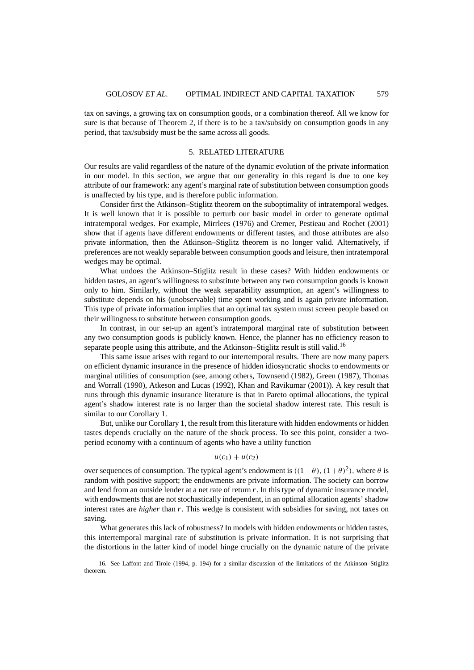tax on savings, a growing tax on consumption goods, or a combination thereof. All we know for sure is that because of Theorem 2, if there is to be a tax/subsidy on consumption goods in any period, that tax/subsidy must be the same across all goods.

#### 5. RELATED LITERATURE

Our results are valid regardless of the nature of the dynamic evolution of the private information in our model. In this section, we argue that our generality in this regard is due to one key attribute of our framework: any agent's marginal rate of substitution between consumption goods is unaffected by his type, and is therefore public information.

Consider first the Atkinson–Stiglitz theorem on the suboptimality of intratemporal wedges. It is well known that it is possible to perturb our basic model in order to generate optimal intratemporal wedges. For example, Mirrlees (1976) and Cremer, Pestieau and Rochet (2001) show that if agents have different endowments or different tastes, and those attributes are also private information, then the Atkinson–Stiglitz theorem is no longer valid. Alternatively, if preferences are not weakly separable between consumption goods and leisure, then intratemporal wedges may be optimal.

What undoes the Atkinson–Stiglitz result in these cases? With hidden endowments or hidden tastes, an agent's willingness to substitute between any two consumption goods is known only to him. Similarly, without the weak separability assumption, an agent's willingness to substitute depends on his (unobservable) time spent working and is again private information. This type of private information implies that an optimal tax system must screen people based on their willingness to substitute between consumption goods.

In contrast, in our set-up an agent's intratemporal marginal rate of substitution between any two consumption goods is publicly known. Hence, the planner has no efficiency reason to separate people using this attribute, and the Atkinson–Stiglitz result is still valid.<sup>16</sup>

This same issue arises with regard to our intertemporal results. There are now many papers on efficient dynamic insurance in the presence of hidden idiosyncratic shocks to endowments or marginal utilities of consumption (see, among others, Townsend (1982), Green (1987), Thomas and Worrall (1990), Atkeson and Lucas (1992), Khan and Ravikumar (2001)). A key result that runs through this dynamic insurance literature is that in Pareto optimal allocations, the typical agent's shadow interest rate is no larger than the societal shadow interest rate. This result is similar to our Corollary 1.

But, unlike our Corollary 1, the result from this literature with hidden endowments or hidden tastes depends crucially on the nature of the shock process. To see this point, consider a twoperiod economy with a continuum of agents who have a utility function

# $u(c_1) + u(c_2)$

over sequences of consumption. The typical agent's endowment is  $((1+\theta), (1+\theta)^2)$ , where  $\theta$  is random with positive support; the endowments are private information. The society can borrow and lend from an outside lender at a net rate of return *r*. In this type of dynamic insurance model, with endowments that are not stochastically independent, in an optimal allocation agents' shadow interest rates are *higher* than *r*. This wedge is consistent with subsidies for saving, not taxes on saving.

What generates this lack of robustness? In models with hidden endowments or hidden tastes, this intertemporal marginal rate of substitution is private information. It is not surprising that the distortions in the latter kind of model hinge crucially on the dynamic nature of the private

16. See Laffont and Tirole (1994, p. 194) for a similar discussion of the limitations of the Atkinson–Stiglitz theorem.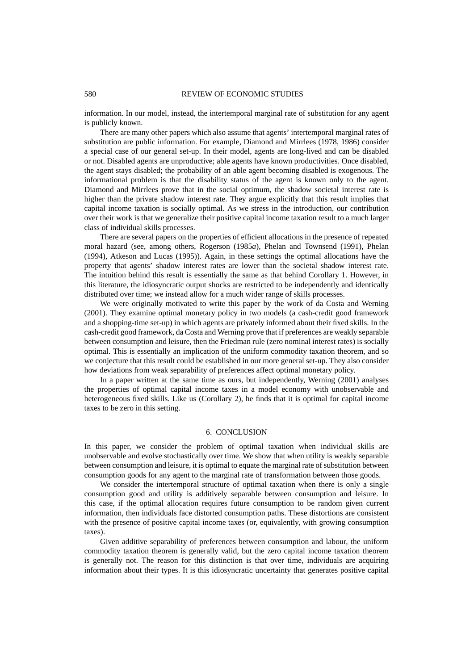information. In our model, instead, the intertemporal marginal rate of substitution for any agent is publicly known.

There are many other papers which also assume that agents' intertemporal marginal rates of substitution are public information. For example, Diamond and Mirrlees (1978, 1986) consider a special case of our general set-up. In their model, agents are long-lived and can be disabled or not. Disabled agents are unproductive; able agents have known productivities. Once disabled, the agent stays disabled; the probability of an able agent becoming disabled is exogenous. The informational problem is that the disability status of the agent is known only to the agent. Diamond and Mirrlees prove that in the social optimum, the shadow societal interest rate is higher than the private shadow interest rate. They argue explicitly that this result implies that capital income taxation is socially optimal. As we stress in the introduction, our contribution over their work is that we generalize their positive capital income taxation result to a much larger class of individual skills processes.

There are several papers on the properties of efficient allocations in the presence of repeated moral hazard (see, among others, Rogerson (1985*a*), Phelan and Townsend (1991), Phelan (1994), Atkeson and Lucas (1995)). Again, in these settings the optimal allocations have the property that agents' shadow interest rates are lower than the societal shadow interest rate. The intuition behind this result is essentially the same as that behind Corollary 1. However, in this literature, the idiosyncratic output shocks are restricted to be independently and identically distributed over time; we instead allow for a much wider range of skills processes.

We were originally motivated to write this paper by the work of da Costa and Werning (2001). They examine optimal monetary policy in two models (a cash-credit good framework and a shopping-time set-up) in which agents are privately informed about their fixed skills. In the cash-credit good framework, da Costa and Werning prove that if preferences are weakly separable between consumption and leisure, then the Friedman rule (zero nominal interest rates) is socially optimal. This is essentially an implication of the uniform commodity taxation theorem, and so we conjecture that this result could be established in our more general set-up. They also consider how deviations from weak separability of preferences affect optimal monetary policy.

In a paper written at the same time as ours, but independently, Werning (2001) analyses the properties of optimal capital income taxes in a model economy with unobservable and heterogeneous fixed skills. Like us (Corollary 2), he finds that it is optimal for capital income taxes to be zero in this setting.

# 6. CONCLUSION

In this paper, we consider the problem of optimal taxation when individual skills are unobservable and evolve stochastically over time. We show that when utility is weakly separable between consumption and leisure, it is optimal to equate the marginal rate of substitution between consumption goods for any agent to the marginal rate of transformation between those goods.

We consider the intertemporal structure of optimal taxation when there is only a single consumption good and utility is additively separable between consumption and leisure. In this case, if the optimal allocation requires future consumption to be random given current information, then individuals face distorted consumption paths. These distortions are consistent with the presence of positive capital income taxes (or, equivalently, with growing consumption taxes).

Given additive separability of preferences between consumption and labour, the uniform commodity taxation theorem is generally valid, but the zero capital income taxation theorem is generally not. The reason for this distinction is that over time, individuals are acquiring information about their types. It is this idiosyncratic uncertainty that generates positive capital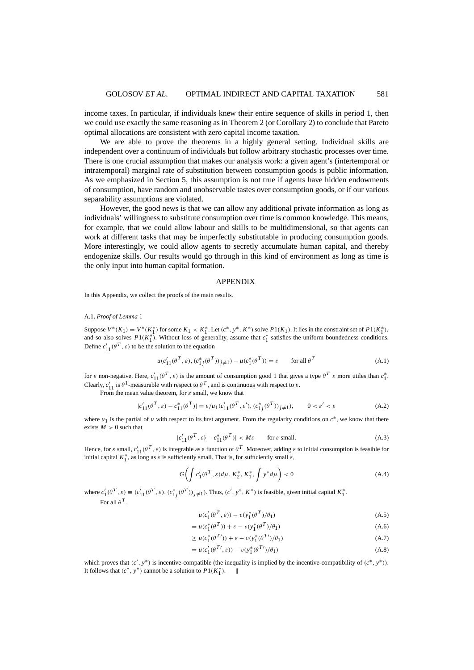income taxes. In particular, if individuals knew their entire sequence of skills in period 1, then we could use exactly the same reasoning as in Theorem 2 (or Corollary 2) to conclude that Pareto optimal allocations are consistent with zero capital income taxation.

We are able to prove the theorems in a highly general setting. Individual skills are independent over a continuum of individuals but follow arbitrary stochastic processes over time. There is one crucial assumption that makes our analysis work: a given agent's (intertemporal or intratemporal) marginal rate of substitution between consumption goods is public information. As we emphasized in Section 5, this assumption is not true if agents have hidden endowments of consumption, have random and unobservable tastes over consumption goods, or if our various separability assumptions are violated.

However, the good news is that we can allow any additional private information as long as individuals' willingness to substitute consumption over time is common knowledge. This means, for example, that we could allow labour and skills to be multidimensional, so that agents can work at different tasks that may be imperfectly substitutable in producing consumption goods. More interestingly, we could allow agents to secretly accumulate human capital, and thereby endogenize skills. Our results would go through in this kind of environment as long as time is the only input into human capital formation.

#### APPENDIX

In this Appendix, we collect the proofs of the main results.

#### A.1. *Proof of Lemma* 1

Suppose  $V^*(K_1) = V^*(K_1^*)$  for some  $K_1 < K_1^*$ . Let  $(c^*, y^*, K^*)$  solve  $P1(K_1)$ . It lies in the constraint set of  $P1(K_1^*)$ , and so also solves  $P1(K_1^*)$ . Without loss of generality, assume that  $c_1^*$  satisfies the uniform boundedness conditions. Define  $c'_{11}(\theta^T, \varepsilon)$  to be the solution to the equation

$$
u(c'_{11}(\theta^T, \varepsilon), (c^*_{1j}(\theta^T))_{j \neq 1}) - u(c^*_{1}(\theta^T)) = \varepsilon \quad \text{for all } \theta^T
$$
 (A.1)

for  $\varepsilon$  non-negative. Here,  $c'_{11}(\theta^T, \varepsilon)$  is the amount of consumption good 1 that gives a type  $\theta^T \varepsilon$  more utiles than  $c_1^*$ . Clearly,  $c'_{11}$  is  $\theta^1$ -measurable with respect to  $\theta^T$ , and is continuous with respect to  $\varepsilon$ .

From the mean value theorem, for  $\varepsilon$  small, we know that

$$
|c'_{11}(\theta^T, \varepsilon) - c_{11}^*(\theta^T)| = \varepsilon / u_1(c'_{11}(\theta^T, \varepsilon'), (c_{1j}^*(\theta^T))_{j \neq 1}), \qquad 0 < \varepsilon' < \varepsilon \tag{A.2}
$$

where  $u_1$  is the partial of *u* with respect to its first argument. From the regularity conditions on  $c^*$ , we know that there exists  $M > 0$  such that

$$
|c'_{11}(\theta^T, \varepsilon) - c^*_{11}(\theta^T)| < M\varepsilon \qquad \text{for } \varepsilon \text{ small.} \tag{A.3}
$$

Hence, for  $\varepsilon$  small,  $c'_{11}(\theta^T, \varepsilon)$  is integrable as a function of  $\theta^T$ . Moreover, adding  $\varepsilon$  to initial consumption is feasible for initial capital  $K_1^*$ , as long as  $\varepsilon$  is sufficiently small. That is, for sufficiently small  $\varepsilon$ ,

$$
G\bigg(\int c_1'(\theta^T,\varepsilon)d\mu, K_2^*, K_1^*, \int y^*d\mu\bigg) < 0\tag{A.4}
$$

where  $c'_1(\theta^T, \varepsilon) \equiv (c'_{11}(\theta^T, \varepsilon), (c^*_{1j}(\theta^T))_{j \neq 1})$ . Thus,  $(c', y^*, K^*)$  is feasible, given initial capital  $K_1^*$ . For all  $\theta^T$ ,

$$
u(c'_1(\theta^T, \varepsilon)) - v(y_1^*(\theta^T)/\theta_1) \tag{A.5}
$$

$$
=u(c_1^*(\theta^T)) + \varepsilon - v(y_1^*(\theta^T)/\theta_1)
$$
\n(A.6)

$$
\geq u(c_1^*(\theta^{T'})) + \varepsilon - v(y_1^*(\theta^{T'})/\theta_1) \tag{A.7}
$$

$$
= u(c'_{1}(\theta^{T'} , \varepsilon)) - v(y_{1}^{*}(\theta^{T'})/\theta_{1})
$$
\n(A.8)

which proves that  $(c', y^*)$  is incentive-compatible (the inequality is implied by the incentive-compatibility of  $(c^*, y^*)$ ). It follows that  $(c^*, y^*)$  cannot be a solution to  $P1(K_1^*)$ .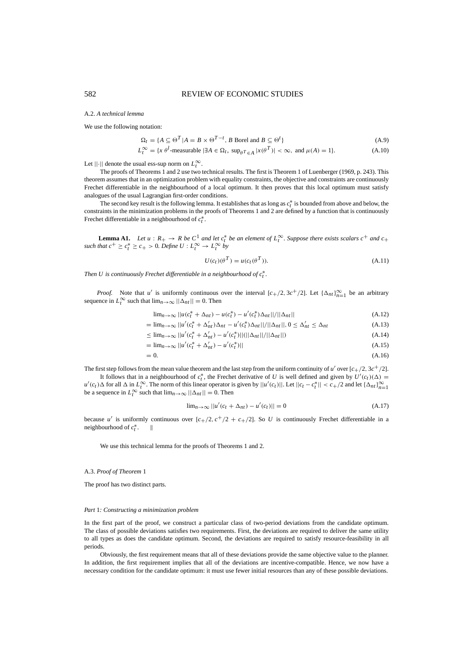A.2. *A technical lemma*

We use the following notation:

$$
\Omega_t = \{ A \subseteq \Theta^T | A = B \times \Theta^{T-t}, B \text{ Borel and } B \subseteq \Theta^t \} \tag{A.9}
$$

$$
L_t^{\infty} = \{x \ \theta^l\text{-measurable } |\exists A \in \Omega_t, \ \sup_{\theta^T \in A} |x(\theta^T)| < \infty, \text{ and } \mu(A) = 1\}. \tag{A.10}
$$

Let  $|| \cdot ||$  denote the usual ess-sup norm on  $L_t^{\infty}$ .

The proofs of Theorems 1 and 2 use two technical results. The first is Theorem 1 of Luenberger (1969, p. 243). This theorem assumes that in an optimization problem with equality constraints, the objective and constraints are continuously Frechet differentiable in the neighbourhood of a local optimum. It then proves that this local optimum must satisfy analogues of the usual Lagrangian first-order conditions.

The second key result is the following lemma. It establishes that as long as  $c_t^*$  is bounded from above and below, the constraints in the minimization problems in the proofs of Theorems 1 and 2 are defined by a function that is continuously Frechet differentiable in a neighbourhood of  $c_t^*$ .

**Lemma A1.** Let  $u: R_+ \to R$  be  $C^1$  and let  $c_t^*$  be an element of  $L_t^\infty$ . Suppose there exists scalars  $c^+$  and  $c_+$ such that  $c^+ \geq c_t^* \geq c_+ > 0$ . Define  $U: L_t^{\infty} \to L_t^{\infty}$  by

$$
U(c_t)(\theta^T) = u(c_t(\theta^T)).
$$
\n(A.11)

*Then U is continuously Frechet differentiable in a neighbourhood of*  $c_t^*$ *.* 

*Proof.* Note that *u*<sup>'</sup> is uniformly continuous over the interval  $[c+/2, 3c^+/2]$ . Let  ${\lbrace \Delta_{nt} \rbrace}_{n=1}^{\infty}$  be an arbitrary sequence in  $L_t^{\infty}$  such that  $\lim_{n\to\infty}$   $||\Delta_{nt}|| = 0$ . Then

$$
\lim_{n \to \infty} ||u(c_t^* + \Delta_{nt}) - u(c_t^*) - u'(c_t^*) \Delta_{nt}||/||\Delta_{nt}|| \tag{A.12}
$$

$$
= \lim_{n \to \infty} ||u'(c_t^* + \Delta'_{nt})\Delta_{nt} - u'(c_t^*)\Delta_{nt}||/||\Delta_{nt}||, 0 \le \Delta'_{nt} \le \Delta_{nt}
$$
\n(A.13)

$$
\leq \lim_{n \to \infty} ||u'(c_t^* + \Delta'_{nt}) - u'(c_t^*)||(||\Delta_{nt}||/||\Delta_{nt}||) \tag{A.14}
$$

$$
= \lim_{n \to \infty} ||u'(c_t^* + \Delta'_{nt}) - u'(c_t^*)|| \tag{A.15}
$$

$$
=0.\t(A.16)
$$

The first step follows from the mean value theorem and the last step from the uniform continuity of  $u'$  over  $[c+/2, 3c^+/2]$ . It follows that in a neighbourhood of  $c_t^*$ , the Frechet derivative of *U* is well defined and given by  $U'(c_t)(\Delta) =$  $u'(c_t)\Delta$  for all  $\Delta$  in  $L_t^{\infty}$ . The norm of this linear operator is given by  $||u'(c_t)||$ . Let  $||c_t - c_t^*|| < c_t/2$  and let  $\{\Delta_{nt}\}_{n=1}^{\infty}$ be a sequence in  $L_t^{\infty}$  such that  $\lim_{n\to\infty}$   $||\Delta_{nt}|| = 0$ . Then

$$
\lim_{n \to \infty} ||u'(c_t + \Delta_{nt}) - u'(c_t)|| = 0
$$
\n(A.17)

because *u'* is uniformly continuous over  $[c+/2, c^+/2 + c+/2]$ . So *U* is continuously Frechet differentiable in a neighbourhood of  $c_t^*$ .  $\parallel$ 

We use this technical lemma for the proofs of Theorems 1 and 2.

#### A.3. *Proof of Theorem* 1

The proof has two distinct parts.

#### *Part* 1*: Constructing a minimization problem*

In the first part of the proof, we construct a particular class of two-period deviations from the candidate optimum. The class of possible deviations satisfies two requirements. First, the deviations are required to deliver the same utility to all types as does the candidate optimum. Second, the deviations are required to satisfy resource-feasibility in all periods.

Obviously, the first requirement means that all of these deviations provide the same objective value to the planner. In addition, the first requirement implies that all of the deviations are incentive-compatible. Hence, we now have a necessary condition for the candidate optimum: it must use fewer initial resources than any of these possible deviations.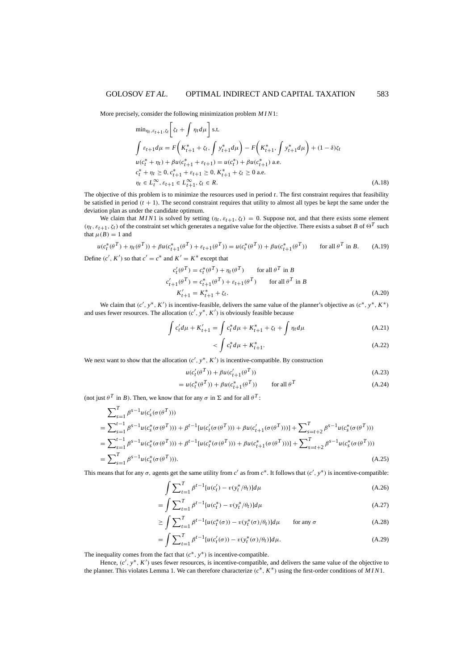More precisely, consider the following minimization problem *M I N*1:

$$
\min_{\eta_l, \varepsilon_{l+1}, \zeta_l} \left[ \zeta_l + \int \eta_l d\mu \right] \text{s.t.}
$$
\n
$$
\int \varepsilon_{l+1} d\mu = F\left( K_{l+1}^* + \zeta_l, \int y_{l+1}^* d\mu \right) - F\left( K_{l+1}^*, \int y_{l+1}^* d\mu \right) + (1 - \delta)\zeta_l
$$
\n
$$
u(c_l^* + \eta_l) + \beta u(c_{l+1}^* + \varepsilon_{l+1}) = u(c_l^*) + \beta u(c_{l+1}^*) \text{ a.e.}
$$
\n
$$
c_l^* + \eta_l \ge 0, c_{l+1}^* + \varepsilon_{l+1} \ge 0, K_{l+1}^* + \zeta_l \ge 0 \text{ a.e.}
$$
\n
$$
\eta_l \in L_l^{\infty}, \varepsilon_{l+1} \in L_{l+1}^{\infty}, \zeta_l \in R. \tag{A.18}
$$

The objective of this problem is to minimize the resources used in period *t*. The first constraint requires that feasibility be satisfied in period (*t* + 1). The second constraint requires that utility to almost all types be kept the same under the deviation plan as under the candidate optimum.

We claim that *MIN*1 is solved by setting  $(\eta_t, \varepsilon_{t+1}, \zeta_t) = 0$ . Suppose not, and that there exists some element  $(\eta_t, \varepsilon_{t+1}, \zeta_t)$  of the constraint set which generates a negative value for the objective. There exists a subset *B* of  $\Theta^T$  such that  $\mu(B) = 1$  and

$$
u(c_t^*(\theta^T) + \eta_t(\theta^T)) + \beta u(c_{t+1}^*(\theta^T) + \varepsilon_{t+1}(\theta^T)) = u(c_t^*(\theta^T)) + \beta u(c_{t+1}^*(\theta^T)) \qquad \text{for all } \theta^T \text{ in } B. \tag{A.19}
$$

Define  $(c', K')$  so that  $c' = c^*$  and  $K' = K^*$  except that

$$
c'_{t}(\theta^{T}) = c_{t}^{*}(\theta^{T}) + \eta_{t}(\theta^{T}) \quad \text{for all } \theta^{T} \text{ in } B
$$
  
\n
$$
c'_{t+1}(\theta^{T}) = c_{t+1}^{*}(\theta^{T}) + \varepsilon_{t+1}(\theta^{T}) \quad \text{for all } \theta^{T} \text{ in } B
$$
  
\n
$$
K'_{t+1} = K_{t+1}^{*} + \zeta_{t}.
$$
\n(A.20)

We claim that  $(c', y^*, K')$  is incentive-feasible, delivers the same value of the planner's objective as  $(c^*, y^*, K^*)$ and uses fewer resources. The allocation  $(c', y^*, K')$  is obviously feasible because

$$
\int c'_t d\mu + K'_{t+1} = \int c_t^* d\mu + K_{t+1}^* + \zeta_t + \int \eta_t d\mu \tag{A.21}
$$

$$
< \int c_t^* d\mu + K_{t+1}^*.
$$
\n(A.22)

We next want to show that the allocation  $(c', y^*, K')$  is incentive-compatible. By construction

$$
u(c_t'(\theta^T)) + \beta u(c_{t+1}'(\theta^T))
$$
\n(A.23)

$$
= u(c_t^*(\theta^T)) + \beta u(c_{t+1}^*(\theta^T)) \qquad \text{for all } \theta^T
$$
 (A.24)

(not just  $\theta^T$  in *B*). Then, we know that for any  $\sigma$  in  $\Sigma$  and for all  $\theta^T$ :

$$
\sum_{s=1}^{T} \beta^{s-1} u(c_s'(\sigma(\theta^T)))
$$
\n
$$
= \sum_{s=1}^{t-1} \beta^{s-1} u(c_s^*(\sigma(\theta^T))) + \beta^{t-1} [u(c_t'(\sigma(\theta^T))) + \beta u(c_{t+1}'(\sigma(\theta^T)))] + \sum_{s=t+2}^{T} \beta^{s-1} u(c_s^*(\sigma(\theta^T)))
$$
\n
$$
= \sum_{s=1}^{t-1} \beta^{s-1} u(c_s^*(\sigma(\theta^T))) + \beta^{t-1} [u(c_t^*(\sigma(\theta^T))) + \beta u(c_{t+1}^*(\sigma(\theta^T)))] + \sum_{s=t+2}^{T} \beta^{s-1} u(c_s^*(\sigma(\theta^T)))
$$
\n
$$
= \sum_{s=1}^{T} \beta^{s-1} u(c_s^*(\sigma(\theta^T))).
$$
\n(A.25)

This means that for any  $\sigma$ , agents get the same utility from *c'* as from  $c^*$ . It follows that  $(c', y^*)$  is incentive-compatible:

$$
\int \sum_{t=1}^{T} \beta^{t-1} [u(c'_t) - v(y_t^* / \theta_t)] d\mu \tag{A.26}
$$

$$
= \int \sum_{t=1}^{T} \beta^{t-1} [u(c_t^*) - v(y_t^*/\theta_t)] d\mu \tag{A.27}
$$

$$
\geq \int \sum_{t=1}^{T} \beta^{t-1} [u(c_t^*(\sigma)) - v(y_t^*(\sigma)/\theta_t)] d\mu \qquad \text{for any } \sigma \tag{A.28}
$$

$$
= \int \sum_{t=1}^{T} \beta^{t-1} [u(c'_t(\sigma)) - v(y^*_t(\sigma)/\theta_t)] d\mu.
$$
 (A.29)

The inequality comes from the fact that  $(c^*, y^*)$  is incentive-compatible.

Hence,  $(c', y^*, K')$  uses fewer resources, is incentive-compatible, and delivers the same value of the objective to the planner. This violates Lemma 1. We can therefore characterize (*c* ∗ , *K* ∗ ) using the first-order conditions of *M I N*1.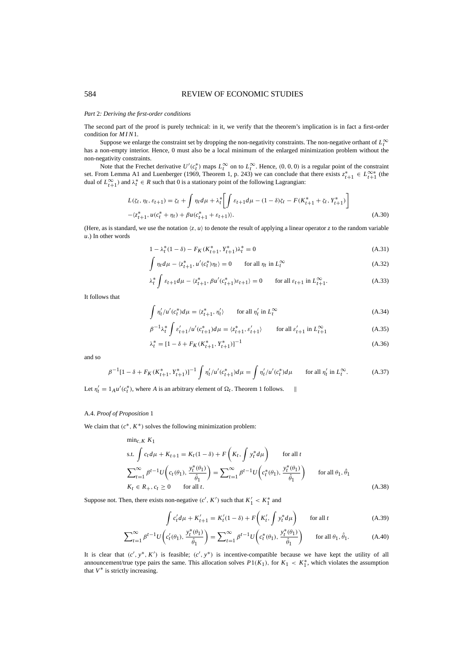#### *Part* 2*: Deriving the first-order conditions*

The second part of the proof is purely technical: in it, we verify that the theorem's implication is in fact a first-order condition for *M I N*1.

Suppose we enlarge the constraint set by dropping the non-negativity constraints. The non-negative orthant of  $L_t^{\infty}$ has a non-empty interior. Hence, 0 must also be a local minimum of the enlarged minimization problem without the non-negativity constraints.

Note that the Frechet derivative  $U'(c_t^*)$  maps  $L_t^{\infty}$  on to  $L_t^{\infty}$ . Hence,  $(0, 0, 0)$  is a regular point of the constraint set. From Lemma A1 and Luenberger (1969, Theorem 1, p. 243) we can conclude that there exists  $z_{t+1}^* \in L_{t+1}^{\infty*}$  (the dual of  $L_{t+1}^{\infty}$ ) and  $\lambda_t^* \in R$  such that 0 is a stationary point of the following Lagrangi

$$
L(\zeta_t, \eta_t, \varepsilon_{t+1}) = \zeta_t + \int \eta_t d\mu + \lambda_t^* \left[ \int \varepsilon_{t+1} d\mu - (1 - \delta)\zeta_t - F(K_{t+1}^* + \zeta_t, Y_{t+1}^*) \right] - \langle z_{t+1}^*, u(c_t^* + \eta_t) + \beta u(c_{t+1}^* + \varepsilon_{t+1}) \rangle.
$$
 (A.30)

(Here, as is standard, we use the notation  $\langle z, u \rangle$  to denote the result of applying a linear operator *z* to the random variable *u*.) In other words

$$
1 - \lambda_t^*(1 - \delta) - F_K(K_{t+1}^*, Y_{t+1}^*)\lambda_t^* = 0
$$
\n(A.31)

$$
\int \eta_t d\mu - \langle z_{t+1}^*, u'(c_t^*) \eta_t \rangle = 0 \qquad \text{for all } \eta_t \text{ in } L_t^{\infty}
$$
\n(A.32)

$$
\lambda_t^* \int \varepsilon_{t+1} d\mu - \langle z_{t+1}^*, \beta u'(c_{t+1}^*) \varepsilon_{t+1} \rangle = 0 \qquad \text{for all } \varepsilon_{t+1} \text{ in } L_{t+1}^{\infty}.
$$
 (A.33)

It follows that

$$
\int \eta'_t / u'(c_t^*) d\mu = \langle z_{t+1}^*, \eta'_t \rangle \qquad \text{for all } \eta'_t \text{ in } L_t^{\infty}
$$
 (A.34)

$$
\beta^{-1} \lambda_t^* \int \epsilon_{t+1}^{\prime} / u^{\prime} (c_{t+1}^*) d\mu = \langle z_{t+1}^*, \epsilon_{t+1}^{\prime} \rangle \qquad \text{for all } \epsilon_{t+1}^{\prime} \text{ in } L_{t+1}^{\infty}
$$
 (A.35)

$$
\lambda_t^* = [1 - \delta + F_K(K_{t+1}^*, Y_{t+1}^*)]^{-1}
$$
\n(A.36)

and so

$$
\beta^{-1}[1-\delta + F_K(K_{t+1}^*, Y_{t+1}^*)]^{-1} \int \eta'_t / u'(c_{t+1}^*) d\mu = \int \eta'_t / u'(c_t^*) d\mu \qquad \text{for all } \eta'_t \text{ in } L_t^{\infty}.
$$
 (A.37)

Let  $\eta'_t = 1_A u'(c_t^*)$ , where *A* is an arbitrary element of  $\Omega_t$ . Theorem 1 follows.  $\parallel$ 

#### A.4. *Proof of Proposition* 1

We claim that  $(c^*, K^*)$  solves the following minimization problem:

$$
\min_{c,K} K_1
$$
\n
$$
\text{s.t.} \int c_t d\mu + K_{t+1} = K_t (1 - \delta) + F\left(K_t, \int y_t^* d\mu\right) \qquad \text{for all } t
$$
\n
$$
\sum_{t=1}^{\infty} \beta^{t-1} U\left(c_t(\theta_1), \frac{y_t^* (\theta_1)}{\hat{\theta}_1}\right) = \sum_{t=1}^{\infty} \beta^{t-1} U\left(c_t^* (\theta_1), \frac{y_t^* (\theta_1)}{\hat{\theta}_1}\right) \qquad \text{for all } \theta_1, \hat{\theta}_1
$$
\n
$$
K_t \in R_+, c_t \ge 0 \qquad \text{for all } t. \tag{A.38}
$$

Suppose not. Then, there exists non-negative  $(c', K')$  such that  $K'_1 < K^*_1$  and

$$
\int c'_t d\mu + K'_{t+1} = K'_t (1 - \delta) + F\left(K'_t, \int y_t^* d\mu\right) \qquad \text{for all } t \tag{A.39}
$$

$$
\sum_{t=1}^{\infty} \beta^{t-1} U\left(c'_t(\theta_1), \frac{y_t^*(\theta_1)}{\hat{\theta}_1}\right) = \sum_{t=1}^{\infty} \beta^{t-1} U\left(c_t^*(\theta_1), \frac{y_t^*(\theta_1)}{\hat{\theta}_1}\right) \quad \text{for all } \theta_1, \hat{\theta}_1.
$$
 (A.40)

It is clear that  $(c', y^*, K')$  is feasible;  $(c', y^*)$  is incentive-compatible because we have kept the utility of all announcement/true type pairs the same. This allocation solves  $P1(K_1)$ , for  $K_1 < K_1^*$ , which violates the assumption that  $V^*$  is strictly increasing.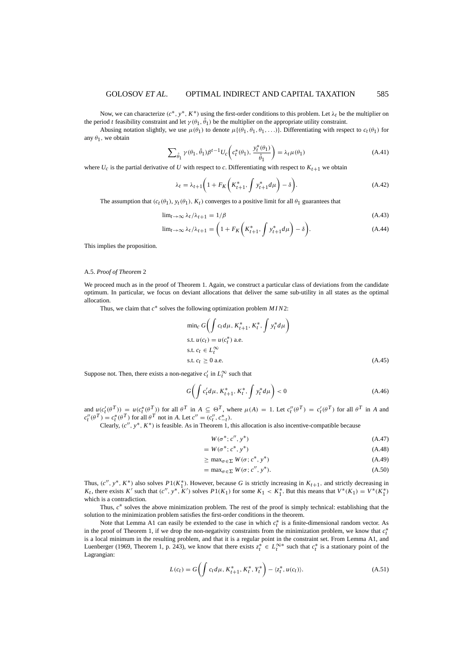#### GOLOSOV *ET AL*. OPTIMAL INDIRECT AND CAPITAL TAXATION 585

Now, we can characterize  $(c^*, y^*, K^*)$  using the first-order conditions to this problem. Let  $\lambda_t$  be the multiplier on the period *t* feasibility constraint and let  $\gamma(\theta_1, \hat{\theta}_1)$  be the multiplier on the appropriate utility constraint.

Abusing notation slightly, we use  $\mu(\theta_1)$  to denote  $\mu(\theta_1, \theta_1, \theta_1, \ldots)$ . Differentiating with respect to  $c_t(\theta_1)$  for any  $\theta_1$ , we obtain

$$
\sum_{\hat{\theta}_1} \gamma(\theta_1, \hat{\theta}_1) \beta^{t-1} U_c \left( c_t^*(\theta_1), \frac{y_t^*(\theta_1)}{\hat{\theta}_1} \right) = \lambda_t \mu(\theta_1)
$$
\n(A.41)

where  $U_c$  is the partial derivative of *U* with respect to *c*. Differentiating with respect to  $K_{t+1}$  we obtain

$$
\lambda_t = \lambda_{t+1} \left( 1 + F_K \left( K_{t+1}^*, \int y_{t+1}^* d\mu \right) - \delta \right). \tag{A.42}
$$

The assumption that  $(c_t(\theta_1), y_t(\theta_1), K_t)$  converges to a positive limit for all  $\theta_1$  guarantees that

$$
\lim_{t \to \infty} \lambda_t / \lambda_{t+1} = 1/\beta \tag{A.43}
$$

$$
\lim_{t \to \infty} \lambda_t / \lambda_{t+1} = \left( 1 + F_K \left( K_{t+1}^*, \int y_{t+1}^* d\mu \right) - \delta \right). \tag{A.44}
$$

This implies the proposition.

#### A.5. *Proof of Theorem* 2

We proceed much as in the proof of Theorem 1. Again, we construct a particular class of deviations from the candidate optimum. In particular, we focus on deviant allocations that deliver the same sub-utility in all states as the optimal allocation.

Thus, we claim that *c* ∗ solves the following optimization problem *M I N*2:

$$
\min_{c} G\biggl(\int c_{t} d\mu, K_{t+1}^{*}, K_{t}^{*}, \int y_{t}^{*} d\mu\biggr)
$$
  
s.t.  $u(c_{t}) = u(c_{t}^{*})$  a.e.  
s.t.  $c_{t} \in L_{t}^{\infty}$   
s.t.  $c_{t} \ge 0$  a.e. (A.45)

Suppose not. Then, there exists a non-negative  $c_t$ <sup>*t*</sup> in  $L_t^{\infty}$  such that

$$
G\bigg(\int c'_t d\mu, K^*_{t+1}, K^*_t, \int y^*_t d\mu\bigg) < 0\tag{A.46}
$$

and  $u(c'_t(\theta^T)) = u(c^*_t(\theta^T))$  for all  $\theta^T$  in  $A \subseteq \Theta^T$ , where  $\mu(A) = 1$ . Let  $c''_t(\theta^T) = c'_t(\theta^T)$  for all  $\theta^T$  in A and  $c_t''(\theta^T) = c_t^*(\theta^T)$  for all  $\theta^T$  not in *A*. Let  $c'' = (c_t'', c_{-t}^*)$ .

Clearly,  $(c'', y^*, K^*)$  is feasible. As in Theorem 1, this allocation is also incentive-compatible because

$$
W(\sigma^*; c'', y^*)\tag{A.47}
$$

$$
= W(\sigma^*; c^*, y^*)
$$
\n<sup>(A.48)</sup>

$$
\geq \max_{\sigma \in \Sigma} W(\sigma; c^*, y^*)
$$
\n(A.49)

$$
= \max_{\sigma \in \Sigma} W(\sigma; c'', y^*). \tag{A.50}
$$

Thus,  $(c'', y^*, K^*)$  also solves  $P1(K_1^*)$ . However, because *G* is strictly increasing in  $K_{t+1}$ , and strictly decreasing in  $K_t$ , there exists K' such that  $(c'', y^*, K')$  solves  $P1(K_1)$  for some  $K_1 < K_1^*$ . But this means that  $V^*(K_1) = V^*(K_1^*)$ which is a contradiction.

Thus,  $c^*$  solves the above minimization problem. The rest of the proof is simply technical: establishing that the solution to the minimization problem satisfies the first-order conditions in the theorem.

Note that Lemma A1 can easily be extended to the case in which  $c_t^*$  is a finite-dimensional random vector. As in the proof of Theorem 1, if we drop the non-negativity constraints from the minimization problem, we know that  $c_t^*$ is a local minimum in the resulting problem, and that it is a regular point in the constraint set. From Lemma A1, and Luenberger (1969, Theorem 1, p. 243), we know that there exists  $z_t^* \in L_t^{\infty*}$  such that  $c_t^*$  is a stationary point of the Lagrangian:

$$
L(c_t) = G\bigg(\int c_t d\mu, K_{t+1}^*, K_t^*, Y_t^*\bigg) - \langle z_t^*, u(c_t) \rangle.
$$
 (A.51)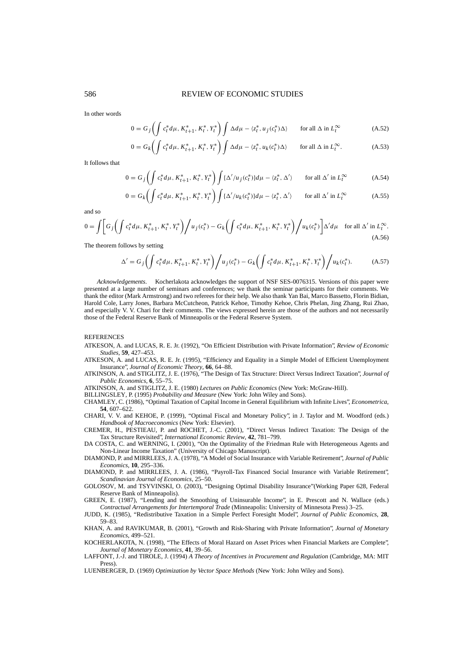In other words

$$
0 = G_j \left( \int c_t^* d\mu, K_{t+1}^*, K_t^*, Y_t^* \right) \int \Delta d\mu - \langle z_t^*, u_j(c_t^*) \Delta \rangle \qquad \text{for all } \Delta \text{ in } L_t^\infty \tag{A.52}
$$

$$
0 = G_k \left( \int c_t^* d\mu, K_{t+1}^*, K_t^*, Y_t^* \right) \int \Delta d\mu - \langle z_t^*, u_k(c_t^*) \Delta \rangle \qquad \text{for all } \Delta \text{ in } L_t^{\infty}.
$$
 (A.53)

It follows that

$$
0 = G_j \left( \int c_t^* d\mu, K_{t+1}^*, K_t^*, Y_t^* \right) \int {\{\Delta' / u_j(c_t^*)\} d\mu - \langle z_t^*, \Delta' \rangle} \qquad \text{for all } \Delta' \text{ in } L_t^\infty \tag{A.54}
$$

$$
0 = G_k \left( \int c_t^* d\mu, K_{t+1}^*, K_t^*, Y_t^* \right) \int \{ \Delta' / u_k(c_t^*) \} d\mu - \langle z_t^*, \Delta' \rangle \qquad \text{for all } \Delta' \text{ in } L_t^\infty \tag{A.55}
$$

and so

$$
0 = \int \left[ G_j \left( \int c_t^* d\mu, K_{t+1}^*, K_t^*, Y_t^* \right) \right/ u_j(c_t^*) - G_k \left( \int c_t^* d\mu, K_{t+1}^*, K_t^*, Y_t^* \right) \right/ u_k(c_t^*) \right] \Delta' d\mu \quad \text{for all } \Delta' \text{ in } L_t^\infty. \tag{A.56}
$$

The theorem follows by setting

$$
\Delta' = G_j \left( \int c_t^* d\mu, K_{t+1}^*, K_t^*, Y_t^* \right) / u_j(c_t^*) - G_k \left( \int c_t^* d\mu, K_{t+1}^*, K_t^*, Y_t^* \right) / u_k(c_t^*).
$$
 (A.57)

*Acknowledgements*. Kocherlakota acknowledges the support of NSF SES-0076315. Versions of this paper were presented at a large number of seminars and conferences; we thank the seminar participants for their comments. We thank the editor (Mark Armstrong) and two referees for their help. We also thank Yan Bai, Marco Bassetto, Florin Bidian, Harold Cole, Larry Jones, Barbara McCutcheon, Patrick Kehoe, Timothy Kehoe, Chris Phelan, Jing Zhang, Rui Zhao, and especially V. V. Chari for their comments. The views expressed herein are those of the authors and not necessarily those of the Federal Reserve Bank of Minneapolis or the Federal Reserve System.

#### **REFERENCES**

- ATKESON, A. and LUCAS, R. E. Jr. (1992), "On Efficient Distribution with Private Information", *Review of Economic Studies*, **59**, 427–453.
- ATKESON, A. and LUCAS, R. E. Jr. (1995), "Efficiency and Equality in a Simple Model of Efficient Unemployment Insurance", *Journal of Economic Theory*, **66**, 64–88.
- ATKINSON, A. and STIGLITZ, J. E. (1976), "The Design of Tax Structure: Direct Versus Indirect Taxation", *Journal of Public Economics*, **6**, 55–75.

ATKINSON, A. and STIGLITZ, J. E. (1980) *Lectures on Public Economics* (New York: McGraw-Hill).

BILLINGSLEY, P. (1995) *Probability and Measure* (New York: John Wiley and Sons).

- CHAMLEY, C. (1986), "Optimal Taxation of Capital Income in General Equilibrium with Infinite Lives", *Econometrica*, **54**, 607–622.
- CHARI, V. V. and KEHOE, P. (1999), "Optimal Fiscal and Monetary Policy", in J. Taylor and M. Woodford (eds.) *Handbook of Macroeconomics* (New York: Elsevier).

CREMER, H., PESTIEAU, P. and ROCHET, J.-C. (2001), "Direct Versus Indirect Taxation: The Design of the Tax Structure Revisited", *International Economic Review*, **42**, 781–799.

DA COSTA, C. and WERNING, I. (2001), "On the Optimality of the Friedman Rule with Heterogeneous Agents and Non-Linear Income Taxation" (University of Chicago Manuscript).

DIAMOND, P. and MIRRLEES, J. A. (1978), "A Model of Social Insurance with Variable Retirement", *Journal of Public Economics*, **10**, 295–336.

DIAMOND, P. and MIRRLEES, J. A. (1986), "Payroll-Tax Financed Social Insurance with Variable Retirement", *Scandinavian Journal of Economics*, 25–50.

GOLOSOV, M. and TSYVINSKI, O. (2003), "Designing Optimal Disability Insurance"(Working Paper 628, Federal Reserve Bank of Minneapolis).

GREEN, E. (1987), "Lending and the Smoothing of Uninsurable Income", in E. Prescott and N. Wallace (eds.) *Contractual Arrangements for Intertemporal Trade* (Minneapolis: University of Minnesota Press) 3–25.

JUDD, K. (1985), "Redistributive Taxation in a Simple Perfect Foresight Model", *Journal of Public Economics*, **28**, 59–83.

KHAN, A. and RAVIKUMAR, B. (2001), "Growth and Risk-Sharing with Private Information", *Journal of Monetary Economics*, 499–521.

KOCHERLAKOTA, N. (1998), "The Effects of Moral Hazard on Asset Prices when Financial Markets are Complete", *Journal of Monetary Economics*, **41**, 39–56.

LAFFONT, J.-J. and TIROLE, J. (1994) *A Theory of Incentives in Procurement and Regulation* (Cambridge, MA: MIT Press).

LUENBERGER, D. (1969) *Optimization by Vector Space Methods* (New York: John Wiley and Sons).